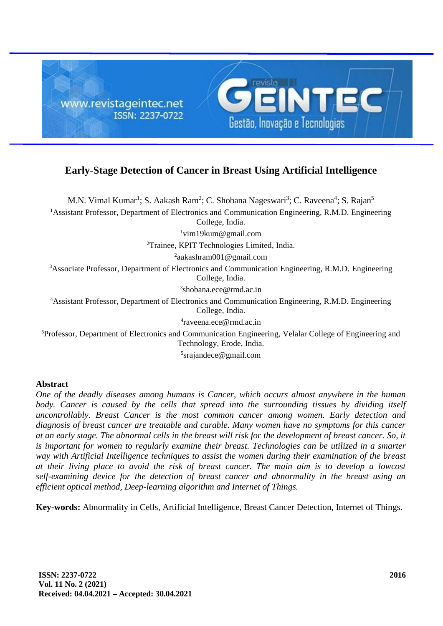

# **Early-Stage Detection of Cancer in Breast Using Artificial Intelligence**

M.N. Vimal Kumar<sup>1</sup>; S. Aakash Ram<sup>2</sup>; C. Shobana Nageswari<sup>3</sup>; C. Raveena<sup>4</sup>; S. Rajan<sup>5</sup> <sup>1</sup>Assistant Professor, Department of Electronics and Communication Engineering, R.M.D. Engineering College, India. <sup>1</sup>vim19kum@gmail.com <sup>2</sup>Trainee, KPIT Technologies Limited, India. <sup>2</sup>aakashram001@gmail.com <sup>3</sup>Associate Professor, Department of Electronics and Communication Engineering, R.M.D. Engineering College, India. 3 shobana.ece@rmd.ac.in <sup>4</sup>Assistant Professor, Department of Electronics and Communication Engineering, R.M.D. Engineering College, India. 4 raveena.ece@rmd.ac.in

<sup>5</sup>Professor, Department of Electronics and Communication Engineering, Velalar College of Engineering and Technology, Erode, India.

5 srajandece@gmail.com

## **Abstract**

*One of the deadly diseases among humans is Cancer, which occurs almost anywhere in the human*  body. Cancer is caused by the cells that spread into the surrounding tissues by dividing itself *uncontrollably. Breast Cancer is the most common cancer among women. Early detection and diagnosis of breast cancer are treatable and curable. Many women have no symptoms for this cancer at an early stage. The abnormal cells in the breast will risk for the development of breast cancer. So, it is important for women to regularly examine their breast. Technologies can be utilized in a smarter way with Artificial Intelligence techniques to assist the women during their examination of the breast at their living place to avoid the risk of breast cancer. The main aim is to develop a lowcost self-examining device for the detection of breast cancer and abnormality in the breast using an efficient optical method, Deep-learning algorithm and Internet of Things.*

**Key-words:** Abnormality in Cells, Artificial Intelligence, Breast Cancer Detection, Internet of Things.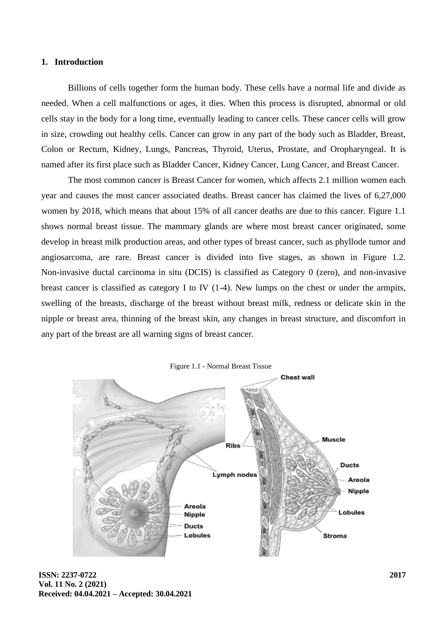#### **1. Introduction**

Billions of cells together form the human body. These cells have a normal life and divide as needed. When a cell malfunctions or ages, it dies. When this process is disrupted, abnormal or old cells stay in the body for a long time, eventually leading to cancer cells. These cancer cells will grow in size, crowding out healthy cells. Cancer can grow in any part of the body such as Bladder, Breast, Colon or Rectum, Kidney, Lungs, Pancreas, Thyroid, Uterus, Prostate, and Oropharyngeal. It is named after its first place such as Bladder Cancer, Kidney Cancer, Lung Cancer, and Breast Cancer.

The most common cancer is Breast Cancer for women, which affects 2.1 million women each year and causes the most cancer associated deaths. Breast cancer has claimed the lives of 6,27,000 women by 2018, which means that about 15% of all cancer deaths are due to this cancer. Figure 1.1 shows normal breast tissue. The mammary glands are where most breast cancer originated, some develop in breast milk production areas, and other types of breast cancer, such as phyllode tumor and angiosarcoma, are rare. Breast cancer is divided into five stages, as shown in Figure 1.2. Non-invasive ductal carcinoma in situ (DCIS) is classified as Category 0 (zero), and non-invasive breast cancer is classified as category I to IV (1-4). New lumps on the chest or under the armpits, swelling of the breasts, discharge of the breast without breast milk, redness or delicate skin in the nipple or breast area, thinning of the breast skin, any changes in breast structure, and discomfort in any part of the breast are all warning signs of breast cancer.



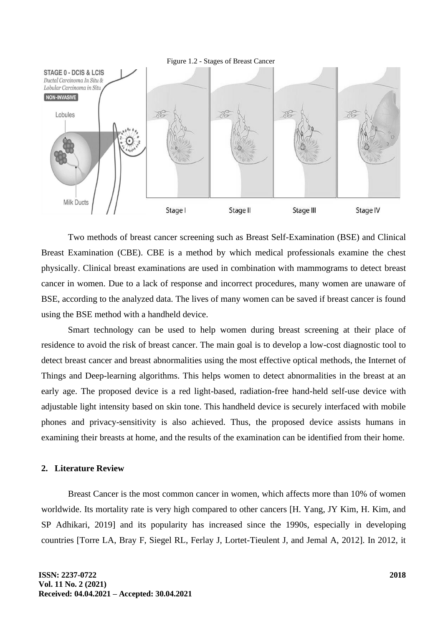

Two methods of breast cancer screening such as Breast Self-Examination (BSE) and Clinical Breast Examination (CBE). CBE is a method by which medical professionals examine the chest physically. Clinical breast examinations are used in combination with mammograms to detect breast cancer in women. Due to a lack of response and incorrect procedures, many women are unaware of BSE, according to the analyzed data. The lives of many women can be saved if breast cancer is found using the BSE method with a handheld device.

Smart technology can be used to help women during breast screening at their place of residence to avoid the risk of breast cancer. The main goal is to develop a low-cost diagnostic tool to detect breast cancer and breast abnormalities using the most effective optical methods, the Internet of Things and Deep-learning algorithms. This helps women to detect abnormalities in the breast at an early age. The proposed device is a red light-based, radiation-free hand-held self-use device with adjustable light intensity based on skin tone. This handheld device is securely interfaced with mobile phones and privacy-sensitivity is also achieved. Thus, the proposed device assists humans in examining their breasts at home, and the results of the examination can be identified from their home.

## **2. Literature Review**

Breast Cancer is the most common cancer in women, which affects more than 10% of women worldwide. Its mortality rate is very high compared to other cancers [H. Yang, JY Kim, H. Kim, and SP Adhikari, 2019] and its popularity has increased since the 1990s, especially in developing countries [Torre LA, Bray F, Siegel RL, Ferlay J, Lortet-Tieulent J, and Jemal A, 2012]. In 2012, it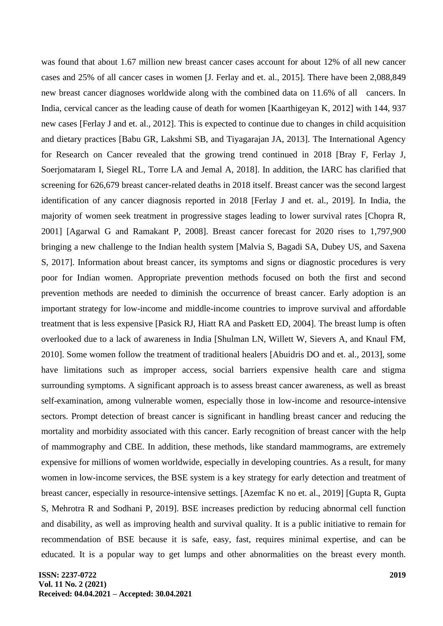was found that about 1.67 million new breast cancer cases account for about 12% of all new cancer cases and 25% of all cancer cases in women [J. Ferlay and et. al., 2015]. There have been 2,088,849 new breast cancer diagnoses worldwide along with the combined data on 11.6% of all cancers. In India, cervical cancer as the leading cause of death for women [Kaarthigeyan K, 2012] with 144, 937 new cases [Ferlay J and et. al., 2012]. This is expected to continue due to changes in child acquisition and dietary practices [Babu GR, Lakshmi SB, and Tiyagarajan JA, 2013]. The International Agency for Research on Cancer revealed that the growing trend continued in 2018 [Bray F, Ferlay J, Soerjomataram I, Siegel RL, Torre LA and Jemal A, 2018]. In addition, the IARC has clarified that screening for 626,679 breast cancer-related deaths in 2018 itself. Breast cancer was the second largest identification of any cancer diagnosis reported in 2018 [Ferlay J and et. al., 2019]. In India, the majority of women seek treatment in progressive stages leading to lower survival rates [Chopra R, 2001] [Agarwal G and Ramakant P, 2008]. Breast cancer forecast for 2020 rises to 1,797,900 bringing a new challenge to the Indian health system [Malvia S, Bagadi SA, Dubey US, and Saxena S, 2017]. Information about breast cancer, its symptoms and signs or diagnostic procedures is very poor for Indian women. Appropriate prevention methods focused on both the first and second prevention methods are needed to diminish the occurrence of breast cancer. Early adoption is an important strategy for low-income and middle-income countries to improve survival and affordable treatment that is less expensive [Pasick RJ, Hiatt RA and Paskett ED, 2004]. The breast lump is often overlooked due to a lack of awareness in India [Shulman LN, Willett W, Sievers A, and Knaul FM, 2010]. Some women follow the treatment of traditional healers [Abuidris DO and et. al., 2013], some have limitations such as improper access, social barriers expensive health care and stigma surrounding symptoms. A significant approach is to assess breast cancer awareness, as well as breast self-examination, among vulnerable women, especially those in low-income and resource-intensive sectors. Prompt detection of breast cancer is significant in handling breast cancer and reducing the mortality and morbidity associated with this cancer. Early recognition of breast cancer with the help of mammography and CBE. In addition, these methods, like standard mammograms, are extremely expensive for millions of women worldwide, especially in developing countries. As a result, for many women in low-income services, the BSE system is a key strategy for early detection and treatment of breast cancer, especially in resource-intensive settings. [Azemfac K no et. al., 2019] [Gupta R, Gupta S, Mehrotra R and Sodhani P, 2019]. BSE increases prediction by reducing abnormal cell function and disability, as well as improving health and survival quality. It is a public initiative to remain for recommendation of BSE because it is safe, easy, fast, requires minimal expertise, and can be educated. It is a popular way to get lumps and other abnormalities on the breast every month.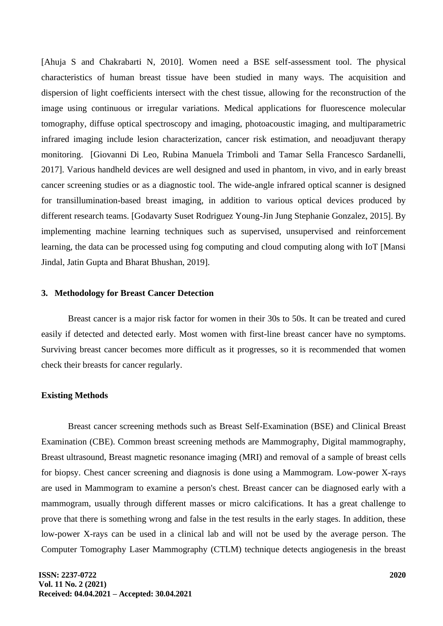[Ahuja S and Chakrabarti N, 2010]. Women need a BSE self-assessment tool. The physical characteristics of human breast tissue have been studied in many ways. The acquisition and dispersion of light coefficients intersect with the chest tissue, allowing for the reconstruction of the image using continuous or irregular variations. Medical applications for fluorescence molecular tomography, diffuse optical spectroscopy and imaging, photoacoustic imaging, and multiparametric infrared imaging include lesion characterization, cancer risk estimation, and neoadjuvant therapy monitoring. [Giovanni Di Leo, Rubina Manuela Trimboli and Tamar Sella Francesco Sardanelli, 2017]. Various handheld devices are well designed and used in phantom, in vivo, and in early breast cancer screening studies or as a diagnostic tool. The wide-angle infrared optical scanner is designed for transillumination-based breast imaging, in addition to various optical devices produced by different research teams. [Godavarty Suset Rodriguez Young-Jin Jung Stephanie Gonzalez, 2015]. By implementing machine learning techniques such as supervised, unsupervised and reinforcement learning, the data can be processed using fog computing and cloud computing along with IoT [Mansi Jindal, Jatin Gupta and Bharat Bhushan, 2019].

#### **3. Methodology for Breast Cancer Detection**

Breast cancer is a major risk factor for women in their 30s to 50s. It can be treated and cured easily if detected and detected early. Most women with first-line breast cancer have no symptoms. Surviving breast cancer becomes more difficult as it progresses, so it is recommended that women check their breasts for cancer regularly.

#### **Existing Methods**

Breast cancer screening methods such as Breast Self-Examination (BSE) and Clinical Breast Examination (CBE). Common breast screening methods are Mammography, Digital mammography, Breast ultrasound, Breast magnetic resonance imaging (MRI) and removal of a sample of breast cells for biopsy. Chest cancer screening and diagnosis is done using a Mammogram. Low-power X-rays are used in Mammogram to examine a person's chest. Breast cancer can be diagnosed early with a mammogram, usually through different masses or micro calcifications. It has a great challenge to prove that there is something wrong and false in the test results in the early stages. In addition, these low-power X-rays can be used in a clinical lab and will not be used by the average person. The Computer Tomography Laser Mammography (CTLM) technique detects angiogenesis in the breast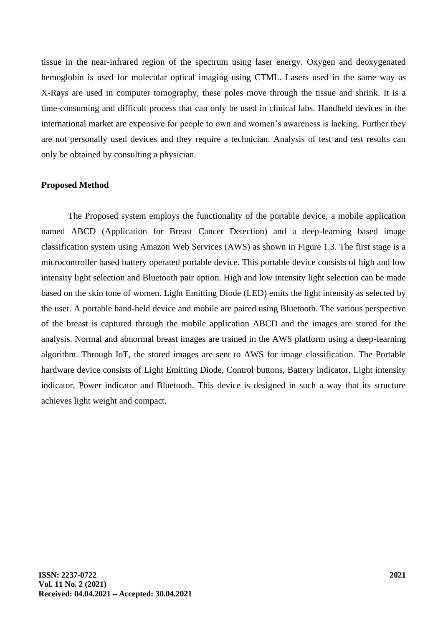tissue in the near-infrared region of the spectrum using laser energy. Oxygen and deoxygenated hemoglobin is used for molecular optical imaging using CTML. Lasers used in the same way as X-Rays are used in computer tomography, these poles move through the tissue and shrink. It is a time-consuming and difficult process that can only be used in clinical labs. Handheld devices in the international market are expensive for people to own and women's awareness is lacking. Further they are not personally used devices and they require a technician. Analysis of test and test results can only be obtained by consulting a physician.

### **Proposed Method**

The Proposed system employs the functionality of the portable device, a mobile application named ABCD (Application for Breast Cancer Detection) and a deep-learning based image classification system using Amazon Web Services (AWS) as shown in Figure 1.3. The first stage is a microcontroller based battery operated portable device. This portable device consists of high and low intensity light selection and Bluetooth pair option. High and low intensity light selection can be made based on the skin tone of women. Light Emitting Diode (LED) emits the light intensity as selected by the user. A portable hand-held device and mobile are paired using Bluetooth. The various perspective of the breast is captured through the mobile application ABCD and the images are stored for the analysis. Normal and abnormal breast images are trained in the AWS platform using a deep-learning algorithm. Through IoT, the stored images are sent to AWS for image classification. The Portable hardware device consists of Light Emitting Diode, Control buttons, Battery indicator, Light intensity indicator, Power indicator and Bluetooth. This device is designed in such a way that its structure achieves light weight and compact.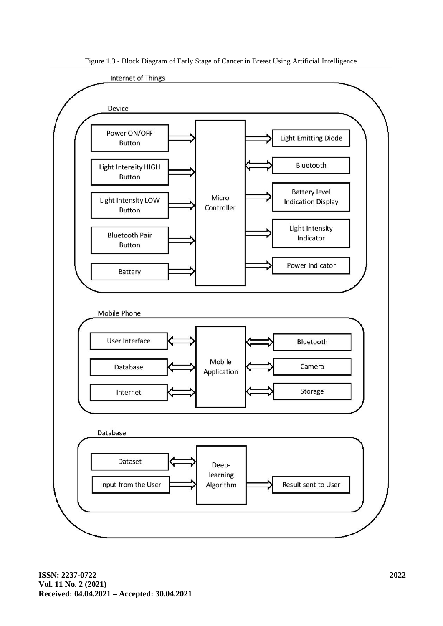

Figure 1.3 - Block Diagram of Early Stage of Cancer in Breast Using Artificial Intelligence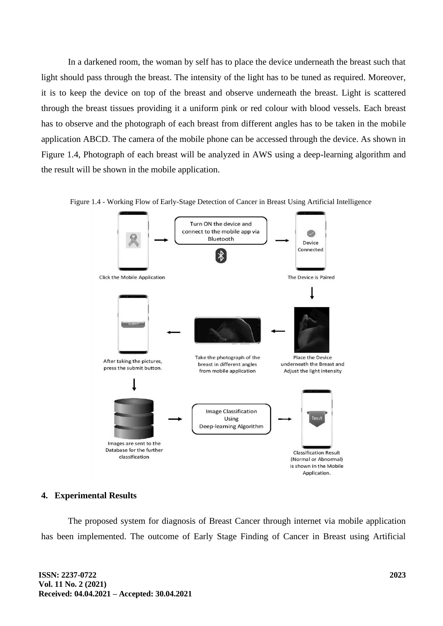In a darkened room, the woman by self has to place the device underneath the breast such that light should pass through the breast. The intensity of the light has to be tuned as required. Moreover, it is to keep the device on top of the breast and observe underneath the breast. Light is scattered through the breast tissues providing it a uniform pink or red colour with blood vessels. Each breast has to observe and the photograph of each breast from different angles has to be taken in the mobile application ABCD. The camera of the mobile phone can be accessed through the device. As shown in Figure 1.4, Photograph of each breast will be analyzed in AWS using a deep-learning algorithm and the result will be shown in the mobile application.





## **4. Experimental Results**

The proposed system for diagnosis of Breast Cancer through internet via mobile application has been implemented. The outcome of Early Stage Finding of Cancer in Breast using Artificial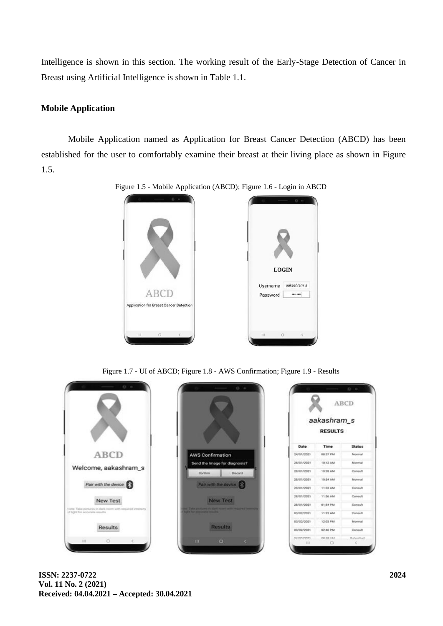Intelligence is shown in this section. The working result of the Early-Stage Detection of Cancer in Breast using Artificial Intelligence is shown in Table 1.1.

# **Mobile Application**

Mobile Application named as Application for Breast Cancer Detection (ABCD) has been established for the user to comfortably examine their breast at their living place as shown in Figure 1.5.



Figure 1.5 - Mobile Application (ABCD); Figure 1.6 - Login in ABCD

Figure 1.7 - UI of ABCD; Figure 1.8 - AWS Confirmation; Figure 1.9 - Results



**ISSN: 2237-0722 Vol. 11 No. 2 (2021) Received: 04.04.2021 – Accepted: 30.04.2021**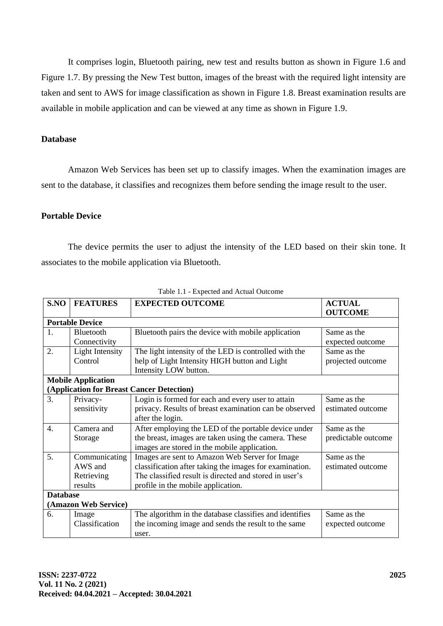It comprises login, Bluetooth pairing, new test and results button as shown in Figure 1.6 and Figure 1.7. By pressing the New Test button, images of the breast with the required light intensity are taken and sent to AWS for image classification as shown in Figure 1.8. Breast examination results are available in mobile application and can be viewed at any time as shown in Figure 1.9.

## **Database**

Amazon Web Services has been set up to classify images. When the examination images are sent to the database, it classifies and recognizes them before sending the image result to the user.

# **Portable Device**

The device permits the user to adjust the intensity of the LED based on their skin tone. It associates to the mobile application via Bluetooth.

| Table 1.1 Expected and Tictual Outcome    |                        |                                                         |                                 |
|-------------------------------------------|------------------------|---------------------------------------------------------|---------------------------------|
| S.NO                                      | <b>FEATURES</b>        | <b>EXPECTED OUTCOME</b>                                 | <b>ACTUAL</b><br><b>OUTCOME</b> |
| <b>Portable Device</b>                    |                        |                                                         |                                 |
| 1.                                        | Bluetooth              | Bluetooth pairs the device with mobile application      | Same as the                     |
|                                           | Connectivity           |                                                         | expected outcome                |
| 2.                                        | <b>Light Intensity</b> | The light intensity of the LED is controlled with the   | Same as the                     |
|                                           | Control                | help of Light Intensity HIGH button and Light           | projected outcome               |
|                                           |                        | Intensity LOW button.                                   |                                 |
| <b>Mobile Application</b>                 |                        |                                                         |                                 |
| (Application for Breast Cancer Detection) |                        |                                                         |                                 |
| $\overline{3}$ .                          | Privacy-               | Login is formed for each and every user to attain       | Same as the                     |
|                                           | sensitivity            | privacy. Results of breast examination can be observed  | estimated outcome               |
|                                           |                        | after the login.                                        |                                 |
| 4.                                        | Camera and             | After employing the LED of the portable device under    | Same as the                     |
|                                           | Storage                | the breast, images are taken using the camera. These    | predictable outcome             |
|                                           |                        | images are stored in the mobile application.            |                                 |
| 5.                                        | Communicating          | Images are sent to Amazon Web Server for Image          | Same as the                     |
|                                           | AWS and                | classification after taking the images for examination. | estimated outcome               |
|                                           | Retrieving             | The classified result is directed and stored in user's  |                                 |
|                                           | results                | profile in the mobile application.                      |                                 |
| <b>Database</b>                           |                        |                                                         |                                 |
| (Amazon Web Service)                      |                        |                                                         |                                 |
| 6.                                        | Image                  | The algorithm in the database classifies and identifies | Same as the                     |
|                                           | Classification         | the incoming image and sends the result to the same     | expected outcome                |
|                                           |                        | user.                                                   |                                 |

Table 1.1 Expected and Actual Outcome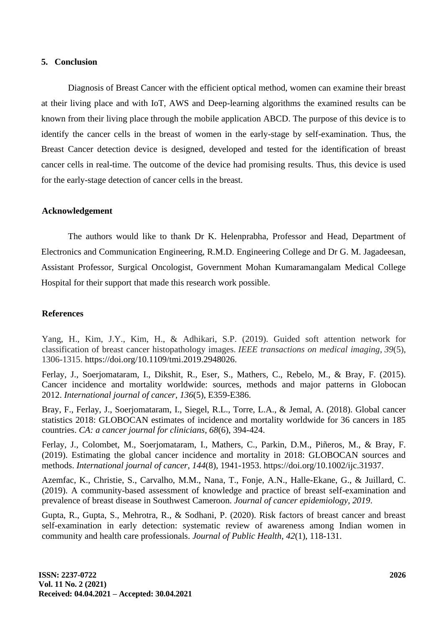## **5. Conclusion**

Diagnosis of Breast Cancer with the efficient optical method, women can examine their breast at their living place and with IoT, AWS and Deep-learning algorithms the examined results can be known from their living place through the mobile application ABCD. The purpose of this device is to identify the cancer cells in the breast of women in the early-stage by self-examination. Thus, the Breast Cancer detection device is designed, developed and tested for the identification of breast cancer cells in real-time. The outcome of the device had promising results. Thus, this device is used for the early-stage detection of cancer cells in the breast.

## **Acknowledgement**

The authors would like to thank Dr K. Helenprabha, Professor and Head, Department of Electronics and Communication Engineering, R.M.D. Engineering College and Dr G. M. Jagadeesan, Assistant Professor, Surgical Oncologist, Government Mohan Kumaramangalam Medical College Hospital for their support that made this research work possible.

# **References**

Yang, H., Kim, J.Y., Kim, H., & Adhikari, S.P. (2019). Guided soft attention network for classification of breast cancer histopathology images. *IEEE transactions on medical imaging*, *39*(5), 1306-1315. https://doi.org/10.1109/tmi.2019.2948026.

Ferlay, J., Soerjomataram, I., Dikshit, R., Eser, S., Mathers, C., Rebelo, M., & Bray, F. (2015). Cancer incidence and mortality worldwide: sources, methods and major patterns in Globocan 2012. *International journal of cancer*, *136*(5), E359-E386.

Bray, F., Ferlay, J., Soerjomataram, I., Siegel, R.L., Torre, L.A., & Jemal, A. (2018). Global cancer statistics 2018: GLOBOCAN estimates of incidence and mortality worldwide for 36 cancers in 185 countries. *CA: a cancer journal for clinicians*, *68*(6), 394-424.

Ferlay, J., Colombet, M., Soerjomataram, I., Mathers, C., Parkin, D.M., Piñeros, M., & Bray, F. (2019). Estimating the global cancer incidence and mortality in 2018: GLOBOCAN sources and methods. *International journal of cancer*, *144*(8), 1941-1953. https://doi.org/10.1002/ijc.31937.

Azemfac, K., Christie, S., Carvalho, M.M., Nana, T., Fonje, A.N., Halle-Ekane, G., & Juillard, C. (2019). A community-based assessment of knowledge and practice of breast self-examination and prevalence of breast disease in Southwest Cameroon. *Journal of cancer epidemiology*, *2019*.

Gupta, R., Gupta, S., Mehrotra, R., & Sodhani, P. (2020). Risk factors of breast cancer and breast self-examination in early detection: systematic review of awareness among Indian women in community and health care professionals. *Journal of Public Health*, *42*(1), 118-131.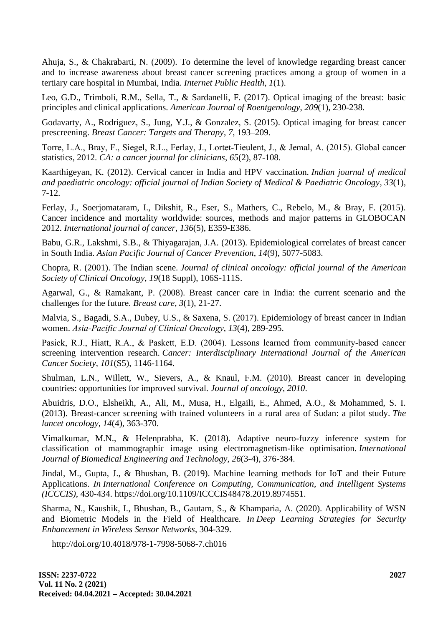Ahuja, S., & Chakrabarti, N. (2009). To determine the level of knowledge regarding breast cancer and to increase awareness about breast cancer screening practices among a group of women in a tertiary care hospital in Mumbai, India. *Internet Public Health*, *1*(1).

Leo, G.D., Trimboli, R.M., Sella, T., & Sardanelli, F. (2017). Optical imaging of the breast: basic principles and clinical applications. *American Journal of Roentgenology*, *209*(1), 230-238.

Godavarty, A., Rodriguez, S., Jung, Y.J., & Gonzalez, S. (2015). Optical imaging for breast cancer prescreening. *Breast Cancer: Targets and Therapy*, *7*, 193–209.

Torre, L.A., Bray, F., Siegel, R.L., Ferlay, J., Lortet‐Tieulent, J., & Jemal, A. (2015). Global cancer statistics, 2012. *CA: a cancer journal for clinicians*, *65*(2), 87-108.

Kaarthigeyan, K. (2012). Cervical cancer in India and HPV vaccination. *Indian journal of medical and paediatric oncology: official journal of Indian Society of Medical & Paediatric Oncology*, *33*(1), 7-12.

Ferlay, J., Soerjomataram, I., Dikshit, R., Eser, S., Mathers, C., Rebelo, M., & Bray, F. (2015). Cancer incidence and mortality worldwide: sources, methods and major patterns in GLOBOCAN 2012. *International journal of cancer*, *136*(5), E359-E386.

Babu, G.R., Lakshmi, S.B., & Thiyagarajan, J.A. (2013). Epidemiological correlates of breast cancer in South India. *Asian Pacific Journal of Cancer Prevention*, *14*(9), 5077-5083.

Chopra, R. (2001). The Indian scene. *Journal of clinical oncology: official journal of the American Society of Clinical Oncology*, *19*(18 Suppl), 106S-111S.

Agarwal, G., & Ramakant, P. (2008). Breast cancer care in India: the current scenario and the challenges for the future. *Breast care*, *3*(1), 21-27.

Malvia, S., Bagadi, S.A., Dubey, U.S., & Saxena, S. (2017). Epidemiology of breast cancer in Indian women. *Asia‐Pacific Journal of Clinical Oncology*, *13*(4), 289-295.

Pasick, R.J., Hiatt, R.A., & Paskett, E.D. (2004). Lessons learned from community-based cancer screening intervention research. *Cancer: Interdisciplinary International Journal of the American Cancer Society*, *101*(S5), 1146-1164.

Shulman, L.N., Willett, W., Sievers, A., & Knaul, F.M. (2010). Breast cancer in developing countries: opportunities for improved survival. *Journal of oncology*, *2010*.

Abuidris, D.O., Elsheikh, A., Ali, M., Musa, H., Elgaili, E., Ahmed, A.O., & Mohammed, S. I. (2013). Breast-cancer screening with trained volunteers in a rural area of Sudan: a pilot study. *The lancet oncology*, *14*(4), 363-370.

Vimalkumar, M.N., & Helenprabha, K. (2018). Adaptive neuro-fuzzy inference system for classification of mammographic image using electromagnetism-like optimisation. *International Journal of Biomedical Engineering and Technology*, *26*(3-4), 376-384.

Jindal, M., Gupta, J., & Bhushan, B. (2019). Machine learning methods for IoT and their Future Applications. *In International Conference on Computing, Communication, and Intelligent Systems (ICCCIS)*, 430-434. https://doi.org/10.1109/ICCCIS48478.2019.8974551.

Sharma, N., Kaushik, I., Bhushan, B., Gautam, S., & Khamparia, A. (2020). Applicability of WSN and Biometric Models in the Field of Healthcare. *In Deep Learning Strategies for Security Enhancement in Wireless Sensor Networks*, 304-329.

http://doi.org/10.4018/978-1-7998-5068-7.ch016